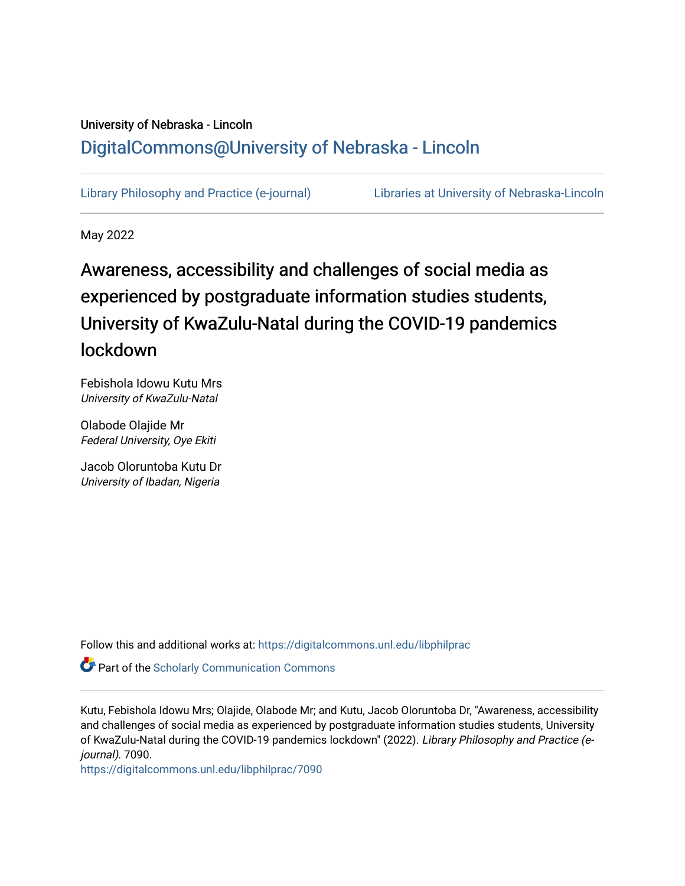## University of Nebraska - Lincoln [DigitalCommons@University of Nebraska - Lincoln](https://digitalcommons.unl.edu/)

[Library Philosophy and Practice \(e-journal\)](https://digitalcommons.unl.edu/libphilprac) [Libraries at University of Nebraska-Lincoln](https://digitalcommons.unl.edu/libraries) 

May 2022

# Awareness, accessibility and challenges of social media as experienced by postgraduate information studies students, University of KwaZulu-Natal during the COVID-19 pandemics lockdown

Febishola Idowu Kutu Mrs University of KwaZulu-Natal

Olabode Olajide Mr Federal University, Oye Ekiti

Jacob Oloruntoba Kutu Dr University of Ibadan, Nigeria

Follow this and additional works at: [https://digitalcommons.unl.edu/libphilprac](https://digitalcommons.unl.edu/libphilprac?utm_source=digitalcommons.unl.edu%2Flibphilprac%2F7090&utm_medium=PDF&utm_campaign=PDFCoverPages) 

**Part of the Scholarly Communication Commons** 

Kutu, Febishola Idowu Mrs; Olajide, Olabode Mr; and Kutu, Jacob Oloruntoba Dr, "Awareness, accessibility and challenges of social media as experienced by postgraduate information studies students, University of KwaZulu-Natal during the COVID-19 pandemics lockdown" (2022). Library Philosophy and Practice (ejournal). 7090.

[https://digitalcommons.unl.edu/libphilprac/7090](https://digitalcommons.unl.edu/libphilprac/7090?utm_source=digitalcommons.unl.edu%2Flibphilprac%2F7090&utm_medium=PDF&utm_campaign=PDFCoverPages)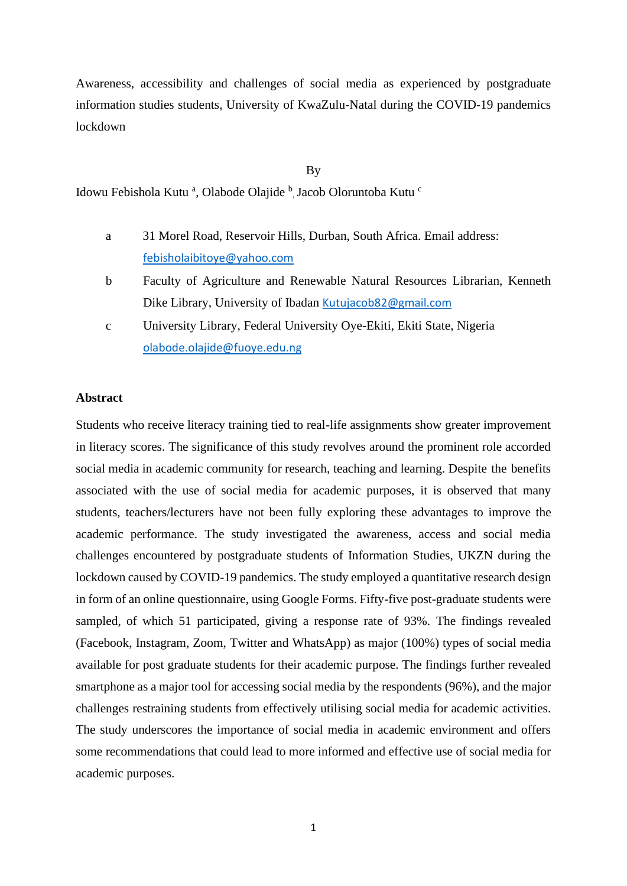Awareness, accessibility and challenges of social media as experienced by postgraduate information studies students, University of KwaZulu-Natal during the COVID-19 pandemics lockdown

By

Idowu Febishola Kutu<sup>a</sup>, Olabode Olajide <sup>b</sup>, Jacob Oloruntoba Kutu<sup>c</sup>

- a 31 Morel Road, Reservoir Hills, Durban, South Africa. Email address: [febisholaibitoye@yahoo.com](mailto:febisholaibitoye@yahoo.com)
- b Faculty of Agriculture and Renewable Natural Resources Librarian, Kenneth Dike Library, University of Ibadan [Kutujacob82@gmail.com](mailto:Kutujacob82@gmail.com)
- c University Library, Federal University Oye-Ekiti, Ekiti State, Nigeria [olabode.olajide@fuoye.edu.ng](mailto:olabode.olajide@fuoye.edu.ng)

#### **Abstract**

Students who receive literacy training tied to real-life assignments show greater improvement in literacy scores. The significance of this study revolves around the prominent role accorded social media in academic community for research, teaching and learning. Despite the benefits associated with the use of social media for academic purposes, it is observed that many students, teachers/lecturers have not been fully exploring these advantages to improve the academic performance. The study investigated the awareness, access and social media challenges encountered by postgraduate students of Information Studies, UKZN during the lockdown caused by COVID-19 pandemics. The study employed a quantitative research design in form of an online questionnaire, using Google Forms. Fifty-five post-graduate students were sampled, of which 51 participated, giving a response rate of 93%. The findings revealed (Facebook, Instagram, Zoom, Twitter and WhatsApp) as major (100%) types of social media available for post graduate students for their academic purpose. The findings further revealed smartphone as a major tool for accessing social media by the respondents (96%), and the major challenges restraining students from effectively utilising social media for academic activities. The study underscores the importance of social media in academic environment and offers some recommendations that could lead to more informed and effective use of social media for academic purposes.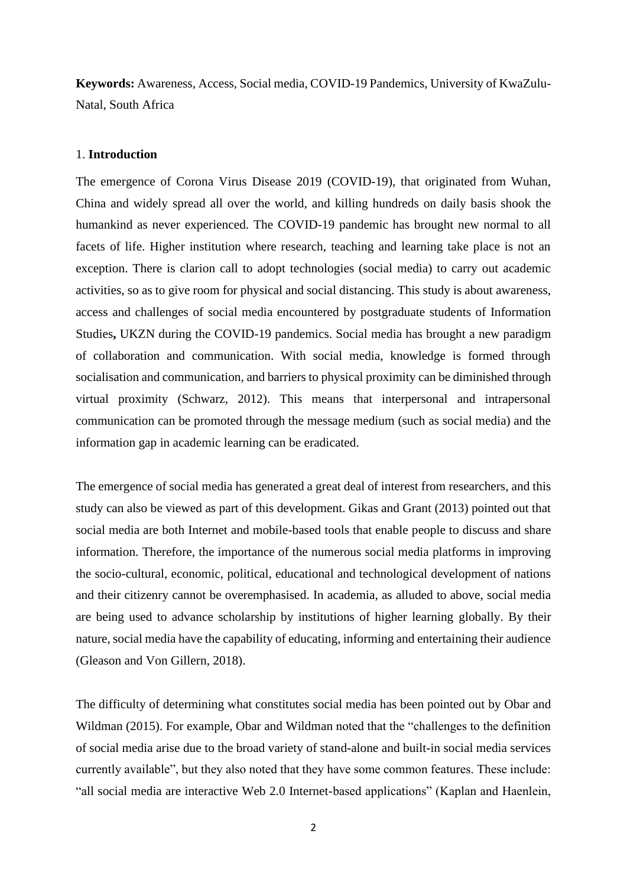**Keywords:** Awareness, Access, Social media, COVID-19 Pandemics, University of KwaZulu-Natal, South Africa

#### 1. **Introduction**

The emergence of Corona Virus Disease 2019 (COVID-19), that originated from Wuhan, China and widely spread all over the world, and killing hundreds on daily basis shook the humankind as never experienced. The COVID-19 pandemic has brought new normal to all facets of life. Higher institution where research, teaching and learning take place is not an exception. There is clarion call to adopt technologies (social media) to carry out academic activities, so as to give room for physical and social distancing. This study is about awareness, access and challenges of social media encountered by postgraduate students of Information Studies**,** UKZN during the COVID-19 pandemics. Social media has brought a new paradigm of collaboration and communication. With social media, knowledge is formed through socialisation and communication, and barriers to physical proximity can be diminished through virtual proximity (Schwarz, 2012). This means that interpersonal and intrapersonal communication can be promoted through the message medium (such as social media) and the information gap in academic learning can be eradicated.

The emergence of social media has generated a great deal of interest from researchers, and this study can also be viewed as part of this development. Gikas and Grant (2013) pointed out that social media are both Internet and mobile-based tools that enable people to discuss and share information. Therefore, the importance of the numerous social media platforms in improving the socio-cultural, economic, political, educational and technological development of nations and their citizenry cannot be overemphasised. In academia, as alluded to above, social media are being used to advance scholarship by institutions of higher learning globally. By their nature, social media have the capability of educating, informing and entertaining their audience (Gleason and Von Gillern, 2018).

The difficulty of determining what constitutes social media has been pointed out by Obar and Wildman (2015). For example, Obar and Wildman noted that the "challenges to the definition of social media arise due to the broad variety of stand-alone and built-in social media services currently available", but they also noted that they have some common features. These include: "all social media are interactive Web 2.0 Internet-based applications" (Kaplan and Haenlein,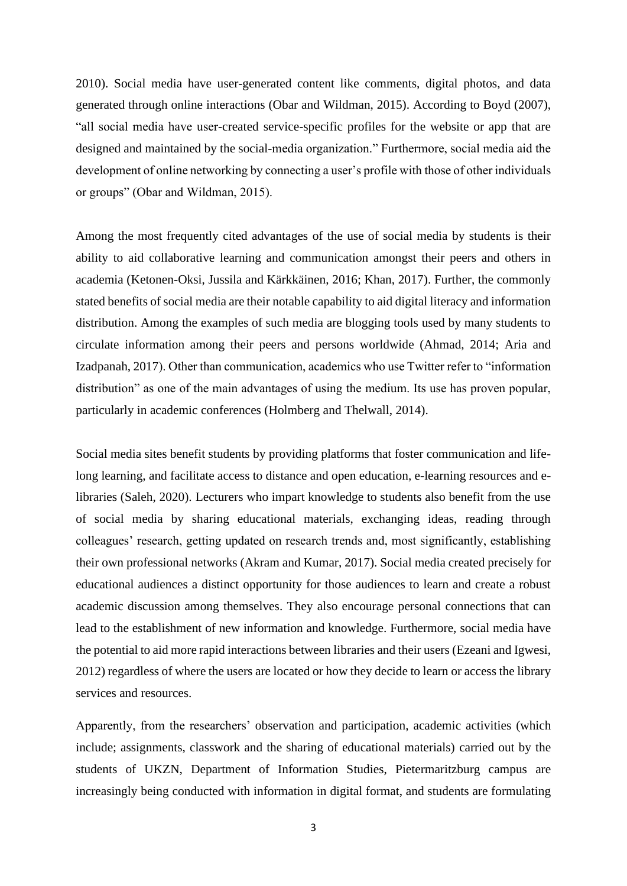2010). Social media have user-generated content like comments, digital photos, and data generated through online interactions (Obar and Wildman, 2015). According to Boyd (2007), "all social media have user-created service-specific profiles for the website or app that are designed and maintained by the social-media organization." Furthermore, social media aid the development of online networking by connecting a user's profile with those of other individuals or groups" (Obar and Wildman, 2015).

Among the most frequently cited advantages of the use of social media by students is their ability to aid collaborative learning and communication amongst their peers and others in academia (Ketonen-Oksi, Jussila and Kärkkäinen, 2016; Khan, 2017). Further, the commonly stated benefits of social media are their notable capability to aid digital literacy and information distribution. Among the examples of such media are blogging tools used by many students to circulate information among their peers and persons worldwide (Ahmad, 2014; Aria and Izadpanah, 2017). Other than communication, academics who use Twitter refer to "information distribution" as one of the main advantages of using the medium. Its use has proven popular, particularly in academic conferences (Holmberg and Thelwall, 2014).

Social media sites benefit students by providing platforms that foster communication and lifelong learning, and facilitate access to distance and open education, e-learning resources and elibraries (Saleh, 2020). Lecturers who impart knowledge to students also benefit from the use of social media by sharing educational materials, exchanging ideas, reading through colleagues' research, getting updated on research trends and, most significantly, establishing their own professional networks (Akram and Kumar, 2017). Social media created precisely for educational audiences a distinct opportunity for those audiences to learn and create a robust academic discussion among themselves. They also encourage personal connections that can lead to the establishment of new information and knowledge. Furthermore, social media have the potential to aid more rapid interactions between libraries and their users (Ezeani and Igwesi, 2012) regardless of where the users are located or how they decide to learn or access the library services and resources.

Apparently, from the researchers' observation and participation, academic activities (which include; assignments, classwork and the sharing of educational materials) carried out by the students of UKZN, Department of Information Studies, Pietermaritzburg campus are increasingly being conducted with information in digital format, and students are formulating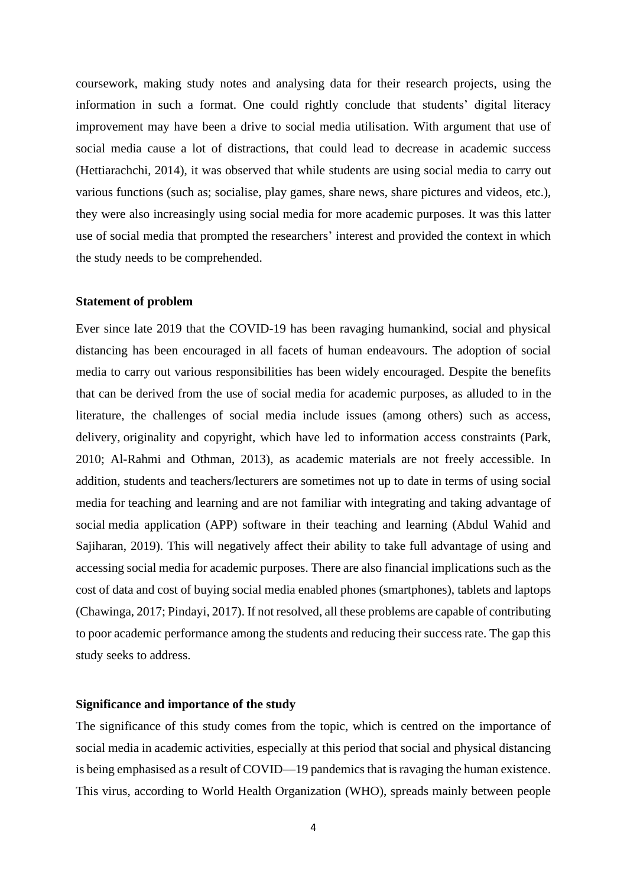coursework, making study notes and analysing data for their research projects, using the information in such a format. One could rightly conclude that students' digital literacy improvement may have been a drive to social media utilisation. With argument that use of social media cause a lot of distractions, that could lead to decrease in academic success (Hettiarachchi, 2014), it was observed that while students are using social media to carry out various functions (such as; socialise, play games, share news, share pictures and videos, etc.), they were also increasingly using social media for more academic purposes. It was this latter use of social media that prompted the researchers' interest and provided the context in which the study needs to be comprehended.

#### **Statement of problem**

Ever since late 2019 that the COVID-19 has been ravaging humankind, social and physical distancing has been encouraged in all facets of human endeavours. The adoption of social media to carry out various responsibilities has been widely encouraged. Despite the benefits that can be derived from the use of social media for academic purposes, as alluded to in the literature, the challenges of social media include issues (among others) such as access, delivery, originality and copyright, which have led to information access constraints (Park, 2010; Al-Rahmi and Othman, 2013), as academic materials are not freely accessible. In addition, students and teachers/lecturers are sometimes not up to date in terms of using social media for teaching and learning and are not familiar with integrating and taking advantage of social media application (APP) software in their teaching and learning (Abdul Wahid and Sajiharan, 2019). This will negatively affect their ability to take full advantage of using and accessing social media for academic purposes. There are also financial implications such as the cost of data and cost of buying social media enabled phones (smartphones), tablets and laptops (Chawinga, 2017; Pindayi, 2017). If not resolved, all these problems are capable of contributing to poor academic performance among the students and reducing their success rate. The gap this study seeks to address.

#### **Significance and importance of the study**

The significance of this study comes from the topic, which is centred on the importance of social media in academic activities, especially at this period that social and physical distancing is being emphasised as a result of COVID—19 pandemics that is ravaging the human existence. This virus, according to World Health Organization (WHO), spreads mainly between people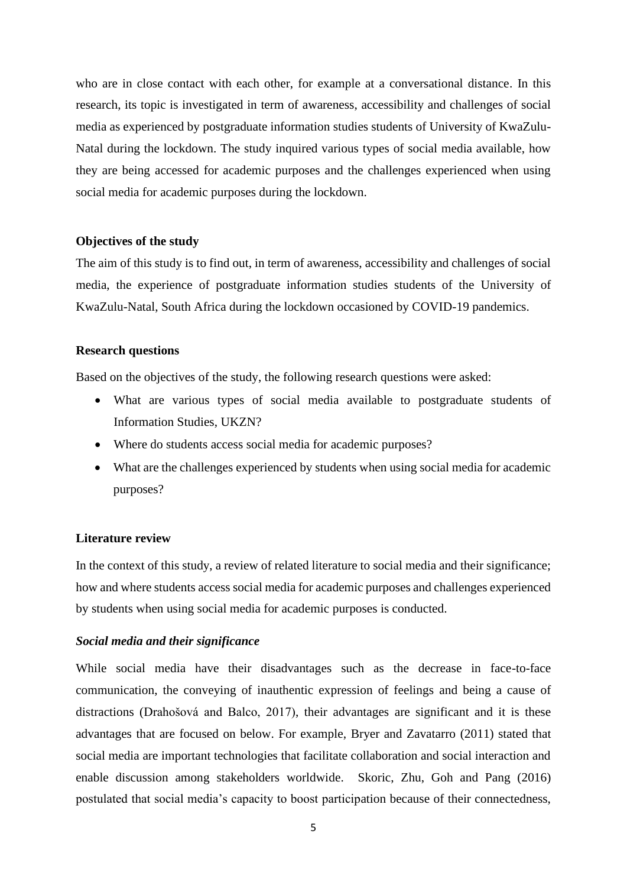who are in close contact with each other, for example at a conversational distance. In this research, its topic is investigated in term of awareness, accessibility and challenges of social media as experienced by postgraduate information studies students of University of KwaZulu-Natal during the lockdown. The study inquired various types of social media available, how they are being accessed for academic purposes and the challenges experienced when using social media for academic purposes during the lockdown.

#### **Objectives of the study**

The aim of this study is to find out, in term of awareness, accessibility and challenges of social media, the experience of postgraduate information studies students of the University of KwaZulu-Natal, South Africa during the lockdown occasioned by COVID-19 pandemics.

#### **Research questions**

Based on the objectives of the study, the following research questions were asked:

- What are various types of social media available to postgraduate students of Information Studies, UKZN?
- Where do students access social media for academic purposes?
- What are the challenges experienced by students when using social media for academic purposes?

#### **Literature review**

In the context of this study, a review of related literature to social media and their significance; how and where students access social media for academic purposes and challenges experienced by students when using social media for academic purposes is conducted.

#### *Social media and their significance*

While social media have their disadvantages such as the decrease in face-to-face communication, the conveying of inauthentic expression of feelings and being a cause of distractions (Drahošová and Balco, 2017), their advantages are significant and it is these advantages that are focused on below. For example, Bryer and Zavatarro (2011) stated that social media are important technologies that facilitate collaboration and social interaction and enable discussion among stakeholders worldwide. Skoric, Zhu, Goh and Pang (2016) postulated that social media's capacity to boost participation because of their connectedness,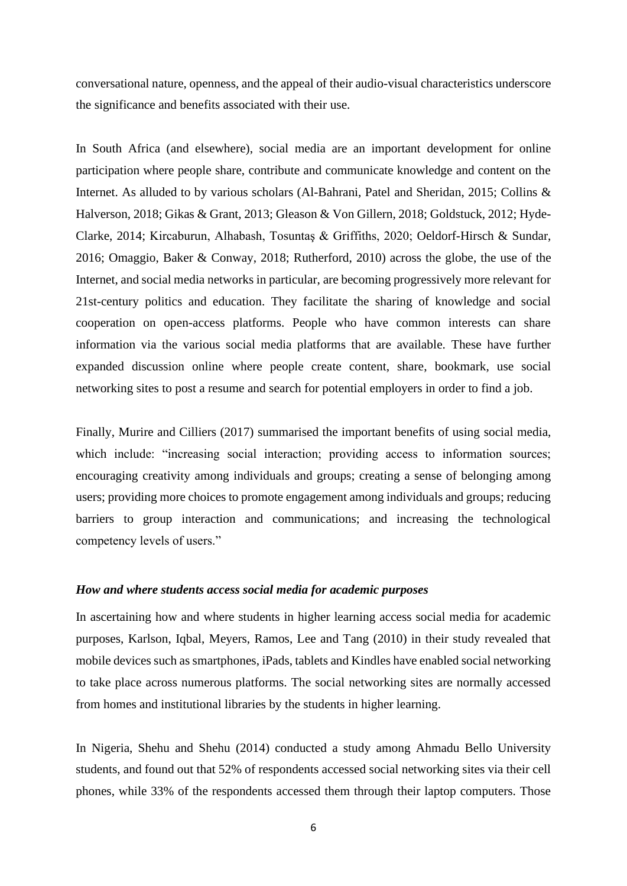conversational nature, openness, and the appeal of their audio-visual characteristics underscore the significance and benefits associated with their use.

In South Africa (and elsewhere), social media are an important development for online participation where people share, contribute and communicate knowledge and content on the Internet. As alluded to by various scholars (Al-Bahrani, Patel and Sheridan, 2015; Collins & Halverson, 2018; Gikas & Grant, 2013; Gleason & Von Gillern, 2018; Goldstuck, 2012; Hyde-Clarke, 2014; Kircaburun, Alhabash, Tosuntaş & Griffiths, 2020; Oeldorf-Hirsch & Sundar, 2016; Omaggio, Baker & Conway, 2018; Rutherford, 2010) across the globe, the use of the Internet, and social media networks in particular, are becoming progressively more relevant for 21st-century politics and education. They facilitate the sharing of knowledge and social cooperation on open-access platforms. People who have common interests can share information via the various social media platforms that are available. These have further expanded discussion online where people create content, share, bookmark, use social networking sites to post a resume and search for potential employers in order to find a job.

Finally, Murire and Cilliers (2017) summarised the important benefits of using social media, which include: "increasing social interaction; providing access to information sources; encouraging creativity among individuals and groups; creating a sense of belonging among users; providing more choices to promote engagement among individuals and groups; reducing barriers to group interaction and communications; and increasing the technological competency levels of users."

#### *How and where students access social media for academic purposes*

In ascertaining how and where students in higher learning access social media for academic purposes, Karlson, Iqbal, Meyers, Ramos, Lee and Tang (2010) in their study revealed that mobile devices such as smartphones, iPads, tablets and Kindles have enabled social networking to take place across numerous platforms. The social networking sites are normally accessed from homes and institutional libraries by the students in higher learning.

In Nigeria, Shehu and Shehu (2014) conducted a study among Ahmadu Bello University students, and found out that 52% of respondents accessed social networking sites via their cell phones, while 33% of the respondents accessed them through their laptop computers. Those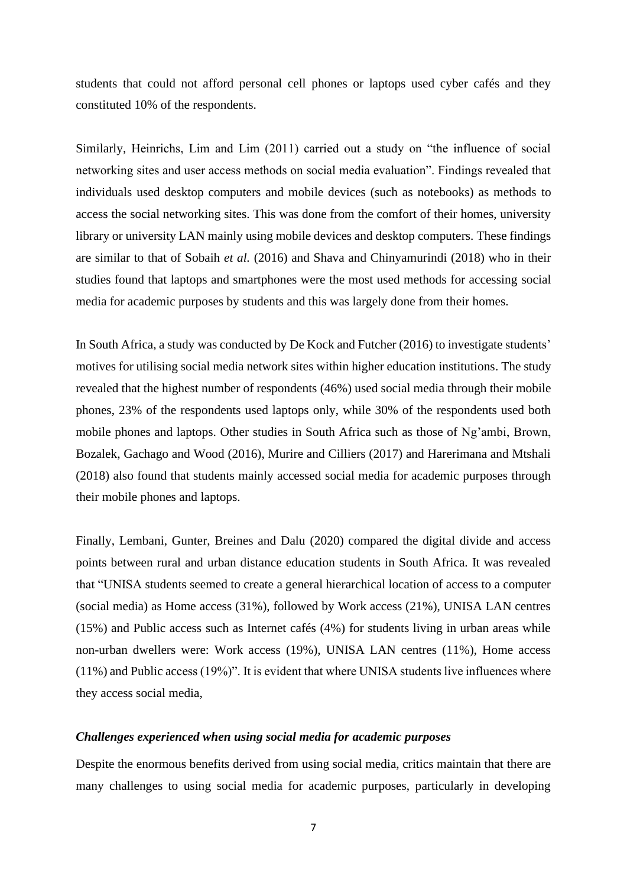students that could not afford personal cell phones or laptops used cyber cafés and they constituted 10% of the respondents.

Similarly, Heinrichs, Lim and Lim (2011) carried out a study on "the influence of social networking sites and user access methods on social media evaluation". Findings revealed that individuals used desktop computers and mobile devices (such as notebooks) as methods to access the social networking sites. This was done from the comfort of their homes, university library or university LAN mainly using mobile devices and desktop computers. These findings are similar to that of Sobaih *et al.* (2016) and Shava and Chinyamurindi (2018) who in their studies found that laptops and smartphones were the most used methods for accessing social media for academic purposes by students and this was largely done from their homes.

In South Africa, a study was conducted by De Kock and Futcher (2016) to investigate students' motives for utilising social media network sites within higher education institutions. The study revealed that the highest number of respondents (46%) used social media through their mobile phones, 23% of the respondents used laptops only, while 30% of the respondents used both mobile phones and laptops. Other studies in South Africa such as those of Ng'ambi, Brown, Bozalek, Gachago and Wood (2016), Murire and Cilliers (2017) and Harerimana and Mtshali (2018) also found that students mainly accessed social media for academic purposes through their mobile phones and laptops.

Finally, Lembani, Gunter, Breines and Dalu (2020) compared the digital divide and access points between rural and urban distance education students in South Africa. It was revealed that "UNISA students seemed to create a general hierarchical location of access to a computer (social media) as Home access (31%), followed by Work access (21%), UNISA LAN centres (15%) and Public access such as Internet cafés (4%) for students living in urban areas while non-urban dwellers were: Work access (19%), UNISA LAN centres (11%), Home access (11%) and Public access (19%)". It is evident that where UNISA students live influences where they access social media,

#### *Challenges experienced when using social media for academic purposes*

Despite the enormous benefits derived from using social media, critics maintain that there are many challenges to using social media for academic purposes, particularly in developing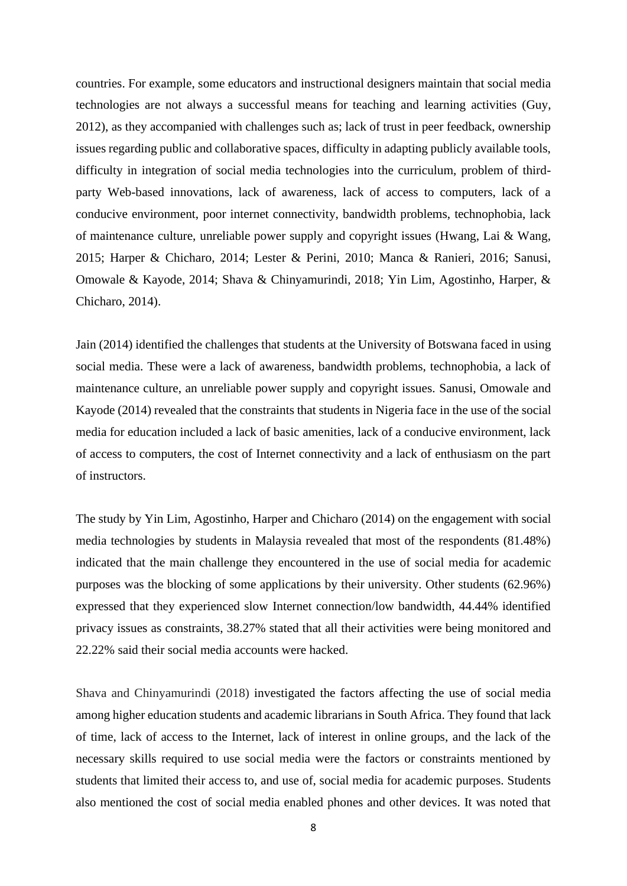countries. For example, some educators and instructional designers maintain that social media technologies are not always a successful means for teaching and learning activities (Guy, 2012), as they accompanied with challenges such as; lack of trust in peer feedback, ownership issues regarding public and collaborative spaces, difficulty in adapting publicly available tools, difficulty in integration of social media technologies into the curriculum, problem of thirdparty Web-based innovations, lack of awareness, lack of access to computers, lack of a conducive environment, poor internet connectivity, bandwidth problems, technophobia, lack of maintenance culture, unreliable power supply and copyright issues (Hwang, Lai & Wang, 2015; Harper & Chicharo, 2014; Lester & Perini, 2010; Manca & Ranieri, 2016; Sanusi, Omowale & Kayode, 2014; Shava & Chinyamurindi, 2018; Yin Lim, Agostinho, Harper, & Chicharo, 2014).

Jain (2014) identified the challenges that students at the University of Botswana faced in using social media. These were a lack of awareness, bandwidth problems, technophobia, a lack of maintenance culture, an unreliable power supply and copyright issues. Sanusi, Omowale and Kayode (2014) revealed that the constraints that students in Nigeria face in the use of the social media for education included a lack of basic amenities, lack of a conducive environment, lack of access to computers, the cost of Internet connectivity and a lack of enthusiasm on the part of instructors.

The study by Yin Lim, Agostinho, Harper and Chicharo (2014) on the engagement with social media technologies by students in Malaysia revealed that most of the respondents (81.48%) indicated that the main challenge they encountered in the use of social media for academic purposes was the blocking of some applications by their university. Other students (62.96%) expressed that they experienced slow Internet connection/low bandwidth, 44.44% identified privacy issues as constraints, 38.27% stated that all their activities were being monitored and 22.22% said their social media accounts were hacked.

Shava and Chinyamurindi (2018) investigated the factors affecting the use of social media among higher education students and academic librarians in South Africa. They found that lack of time, lack of access to the Internet, lack of interest in online groups, and the lack of the necessary skills required to use social media were the factors or constraints mentioned by students that limited their access to, and use of, social media for academic purposes. Students also mentioned the cost of social media enabled phones and other devices. It was noted that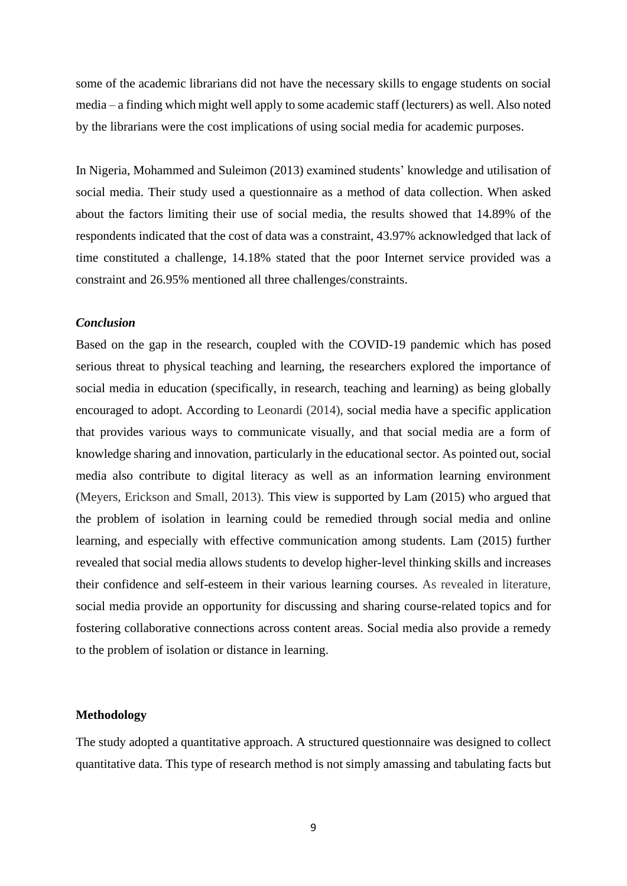some of the academic librarians did not have the necessary skills to engage students on social media – a finding which might well apply to some academic staff (lecturers) as well. Also noted by the librarians were the cost implications of using social media for academic purposes.

In Nigeria, Mohammed and Suleimon (2013) examined students' knowledge and utilisation of social media. Their study used a questionnaire as a method of data collection. When asked about the factors limiting their use of social media, the results showed that 14.89% of the respondents indicated that the cost of data was a constraint, 43.97% acknowledged that lack of time constituted a challenge, 14.18% stated that the poor Internet service provided was a constraint and 26.95% mentioned all three challenges/constraints.

#### *Conclusion*

Based on the gap in the research, coupled with the COVID-19 pandemic which has posed serious threat to physical teaching and learning, the researchers explored the importance of social media in education (specifically, in research, teaching and learning) as being globally encouraged to adopt. According to Leonardi (2014), social media have a specific application that provides various ways to communicate visually, and that social media are a form of knowledge sharing and innovation, particularly in the educational sector. As pointed out, social media also contribute to digital literacy as well as an information learning environment (Meyers, Erickson and Small, 2013). This view is supported by Lam (2015) who argued that the problem of isolation in learning could be remedied through social media and online learning, and especially with effective communication among students. Lam (2015) further revealed that social media allows students to develop higher-level thinking skills and increases their confidence and self-esteem in their various learning courses. As revealed in literature, social media provide an opportunity for discussing and sharing course-related topics and for fostering collaborative connections across content areas. Social media also provide a remedy to the problem of isolation or distance in learning.

#### **Methodology**

The study adopted a quantitative approach. A structured questionnaire was designed to collect quantitative data. This type of research method is not simply amassing and tabulating facts but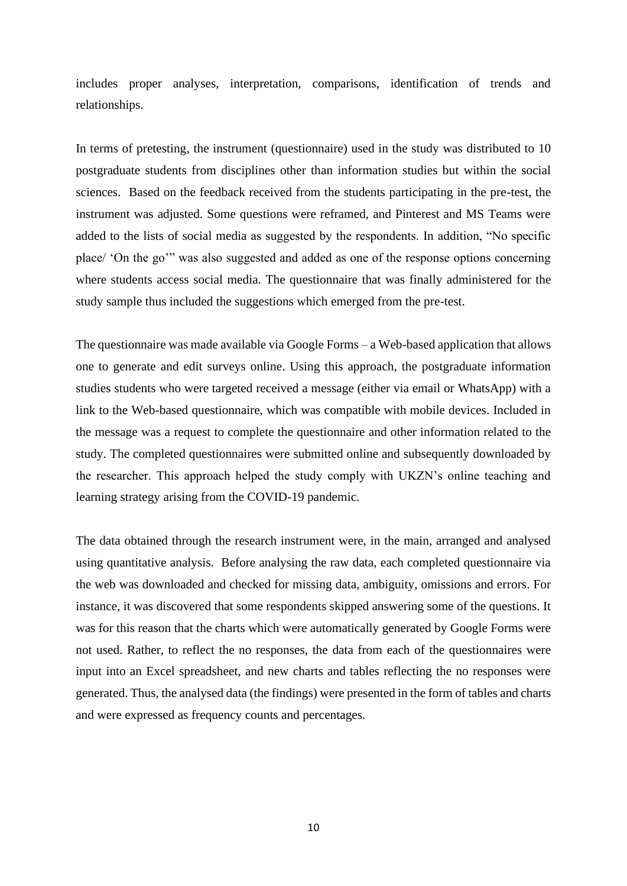includes proper analyses, interpretation, comparisons, identification of trends and relationships.

In terms of pretesting, the instrument (questionnaire) used in the study was distributed to 10 postgraduate students from disciplines other than information studies but within the social sciences. Based on the feedback received from the students participating in the pre-test, the instrument was adjusted. Some questions were reframed, and Pinterest and MS Teams were added to the lists of social media as suggested by the respondents. In addition, "No specific place/ 'On the go'" was also suggested and added as one of the response options concerning where students access social media. The questionnaire that was finally administered for the study sample thus included the suggestions which emerged from the pre-test.

The questionnaire was made available via Google Forms – a Web-based application that allows one to generate and edit surveys online. Using this approach, the postgraduate information studies students who were targeted received a message (either via email or WhatsApp) with a link to the Web-based questionnaire, which was compatible with mobile devices. Included in the message was a request to complete the questionnaire and other information related to the study. The completed questionnaires were submitted online and subsequently downloaded by the researcher. This approach helped the study comply with UKZN's online teaching and learning strategy arising from the COVID-19 pandemic.

The data obtained through the research instrument were, in the main, arranged and analysed using quantitative analysis. Before analysing the raw data, each completed questionnaire via the web was downloaded and checked for missing data, ambiguity, omissions and errors. For instance, it was discovered that some respondents skipped answering some of the questions. It was for this reason that the charts which were automatically generated by Google Forms were not used. Rather, to reflect the no responses, the data from each of the questionnaires were input into an Excel spreadsheet, and new charts and tables reflecting the no responses were generated. Thus, the analysed data (the findings) were presented in the form of tables and charts and were expressed as frequency counts and percentages.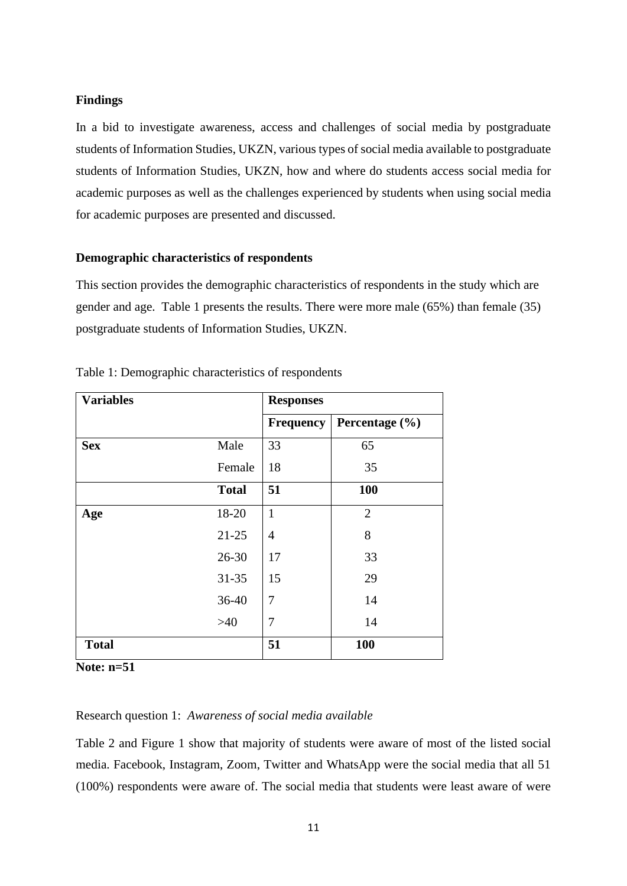#### **Findings**

In a bid to investigate awareness, access and challenges of social media by postgraduate students of Information Studies, UKZN, various types of social media available to postgraduate students of Information Studies, UKZN, how and where do students access social media for academic purposes as well as the challenges experienced by students when using social media for academic purposes are presented and discussed.

#### **Demographic characteristics of respondents**

This section provides the demographic characteristics of respondents in the study which are gender and age. Table 1 presents the results. There were more male (65%) than female (35) postgraduate students of Information Studies, UKZN.

| <b>Variables</b> |              | <b>Responses</b> |                    |  |  |
|------------------|--------------|------------------|--------------------|--|--|
|                  |              | <b>Frequency</b> | Percentage $(\% )$ |  |  |
| <b>Sex</b>       | Male         | 33               | 65                 |  |  |
|                  | Female       | 18               | 35                 |  |  |
|                  | <b>Total</b> | 51               | 100                |  |  |
| Age              | 18-20        | $\mathbf{1}$     | $\overline{2}$     |  |  |
|                  | $21 - 25$    | $\overline{4}$   | 8                  |  |  |
|                  | $26 - 30$    | 17               | 33                 |  |  |
|                  | $31 - 35$    | 15               | 29                 |  |  |
|                  | $36-40$      | 7                | 14                 |  |  |
|                  | $>40$        | 7                | 14                 |  |  |
| <b>Total</b>     |              | 51               | 100                |  |  |

| Table 1: Demographic characteristics of respondents |  |  |
|-----------------------------------------------------|--|--|
|-----------------------------------------------------|--|--|

**Note: n=51**

#### Research question 1: *Awareness of social media available*

Table 2 and Figure 1 show that majority of students were aware of most of the listed social media. Facebook, Instagram, Zoom, Twitter and WhatsApp were the social media that all 51 (100%) respondents were aware of. The social media that students were least aware of were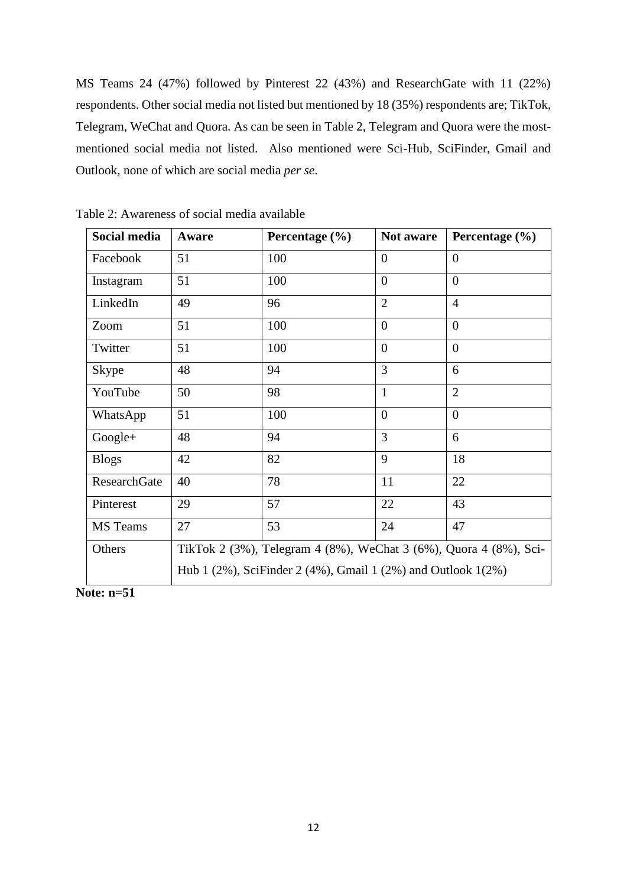MS Teams 24 (47%) followed by Pinterest 22 (43%) and ResearchGate with 11 (22%) respondents. Other social media not listed but mentioned by 18 (35%) respondents are; TikTok, Telegram, WeChat and Quora. As can be seen in Table 2, Telegram and Quora were the mostmentioned social media not listed. Also mentioned were Sci-Hub, SciFinder, Gmail and Outlook, none of which are social media *per se*.

| Social media        | Aware                                                                       | Percentage $(\% )$ | Not aware        | Percentage (%) |  |  |
|---------------------|-----------------------------------------------------------------------------|--------------------|------------------|----------------|--|--|
| Facebook            | 51                                                                          | 100                | $\overline{0}$   | $\overline{0}$ |  |  |
| Instagram           | 51                                                                          | 100                | $\overline{0}$   | $\overline{0}$ |  |  |
| LinkedIn            | 49                                                                          | 96                 | $\overline{2}$   | $\overline{4}$ |  |  |
| Zoom                | 51                                                                          | 100                | $\overline{0}$   | $\overline{0}$ |  |  |
| Twitter             | 51                                                                          | 100                | $\overline{0}$   | $\overline{0}$ |  |  |
| <b>Skype</b>        | 48                                                                          | 94                 | 3                | 6              |  |  |
| YouTube             | 50                                                                          | 98                 | $\mathbf{1}$     | $\overline{2}$ |  |  |
| WhatsApp            | 51                                                                          | 100                | $\boldsymbol{0}$ | $\overline{0}$ |  |  |
| $Google+$           | 48                                                                          | 94                 | 3                | 6              |  |  |
| <b>Blogs</b>        | 42                                                                          | 82                 | 9                | 18             |  |  |
| <b>ResearchGate</b> | 40                                                                          | 78                 | 11               | 22             |  |  |
| Pinterest           | 29                                                                          | 57                 | 22               | 43             |  |  |
| <b>MS</b> Teams     | 27                                                                          | 53                 | 24               | 47             |  |  |
| Others              | TikTok 2 (3%), Telegram 4 (8%), WeChat 3 (6%), Quora 4 (8%), Sci-           |                    |                  |                |  |  |
|                     | Hub 1 $(2\%)$ , SciFinder 2 $(4\%)$ , Gmail 1 $(2\%)$ and Outlook 1 $(2\%)$ |                    |                  |                |  |  |

Table 2: Awareness of social media available

**Note: n=51**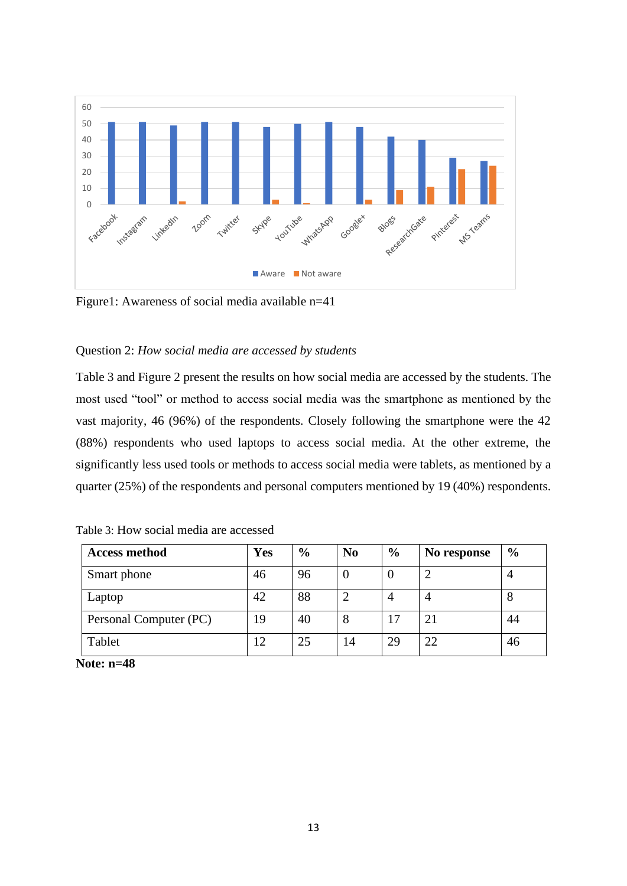

Figure1: Awareness of social media available n=41

#### Question 2: *How social media are accessed by students*

Table 3 and Figure 2 present the results on how social media are accessed by the students. The most used "tool" or method to access social media was the smartphone as mentioned by the vast majority, 46 (96%) of the respondents. Closely following the smartphone were the 42 (88%) respondents who used laptops to access social media. At the other extreme, the significantly less used tools or methods to access social media were tablets, as mentioned by a quarter (25%) of the respondents and personal computers mentioned by 19 (40%) respondents.

| <b>Access method</b>   | Yes | $\frac{6}{9}$ | N <sub>0</sub> | $\frac{6}{6}$ | No response | $\frac{6}{9}$ |
|------------------------|-----|---------------|----------------|---------------|-------------|---------------|
| Smart phone            | 46  | 96            |                | O             |             |               |
| Laptop                 | 42  | 88            | ◠              | 4             |             | Õ             |
| Personal Computer (PC) | 19  | 40            |                |               | 21          | 44            |
| Tablet                 | 12  | 25            | 14             | 29            | 22          | 46            |

Table 3: How social media are accessed

**Note: n=48**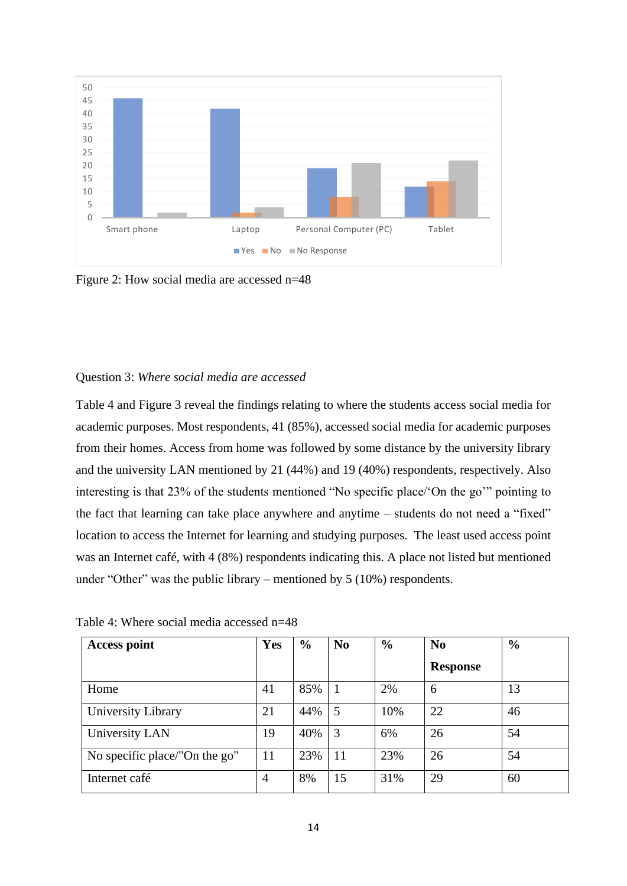

Figure 2: How social media are accessed n=48

#### Question 3: *Where social media are accessed*

Table 4 and Figure 3 reveal the findings relating to where the students access social media for academic purposes. Most respondents, 41 (85%), accessed social media for academic purposes from their homes. Access from home was followed by some distance by the university library and the university LAN mentioned by 21 (44%) and 19 (40%) respondents, respectively. Also interesting is that 23% of the students mentioned "No specific place/'On the go'" pointing to the fact that learning can take place anywhere and anytime – students do not need a "fixed" location to access the Internet for learning and studying purposes. The least used access point was an Internet café, with 4 (8%) respondents indicating this. A place not listed but mentioned under "Other" was the public library – mentioned by 5 (10%) respondents.

|  |  |  |  | Table 4: Where social media accessed n=48 |
|--|--|--|--|-------------------------------------------|
|--|--|--|--|-------------------------------------------|

| <b>Access point</b>           | Yes            | $\frac{6}{6}$ | N <sub>0</sub> | $\frac{6}{6}$ | $\mathbf{N}\mathbf{0}$ | $\frac{6}{6}$ |
|-------------------------------|----------------|---------------|----------------|---------------|------------------------|---------------|
|                               |                |               |                |               | <b>Response</b>        |               |
| Home                          | 41             | 85%           |                | 2%            | 6                      | 13            |
| University Library            | 21             | 44%           | 5              | 10%           | 22                     | 46            |
| University LAN                | 19             | 40%           | 3              | 6%            | 26                     | 54            |
| No specific place/"On the go" | 11             | 23%           | 11             | 23%           | 26                     | 54            |
| Internet café                 | $\overline{4}$ | 8%            | 15             | 31%           | 29                     | 60            |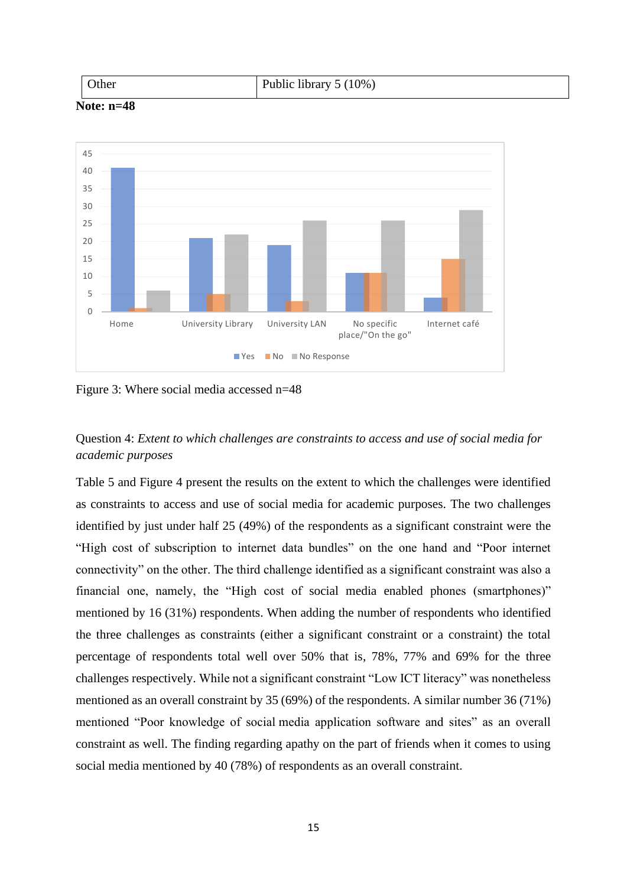| Jther | $\cdots$<br>Public library $5(10\%)$ |
|-------|--------------------------------------|
|-------|--------------------------------------|





Figure 3: Where social media accessed n=48

### Question 4: *Extent to which challenges are constraints to access and use of social media for academic purposes*

Table 5 and Figure 4 present the results on the extent to which the challenges were identified as constraints to access and use of social media for academic purposes. The two challenges identified by just under half 25 (49%) of the respondents as a significant constraint were the "High cost of subscription to internet data bundles" on the one hand and "Poor internet connectivity" on the other. The third challenge identified as a significant constraint was also a financial one, namely, the "High cost of social media enabled phones (smartphones)" mentioned by 16 (31%) respondents. When adding the number of respondents who identified the three challenges as constraints (either a significant constraint or a constraint) the total percentage of respondents total well over 50% that is, 78%, 77% and 69% for the three challenges respectively. While not a significant constraint "Low ICT literacy" was nonetheless mentioned as an overall constraint by 35 (69%) of the respondents. A similar number 36 (71%) mentioned "Poor knowledge of social media application software and sites" as an overall constraint as well. The finding regarding apathy on the part of friends when it comes to using social media mentioned by 40 (78%) of respondents as an overall constraint.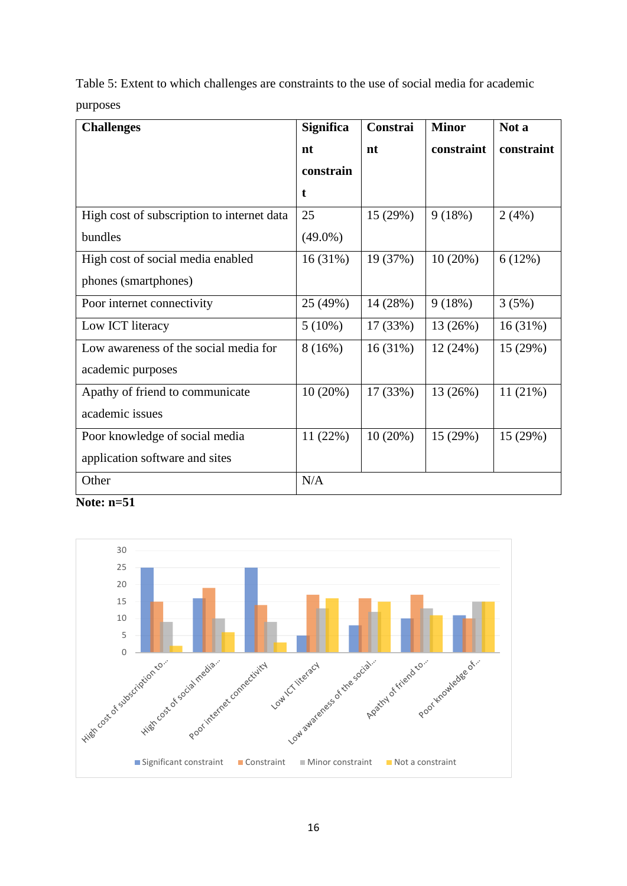Table 5: Extent to which challenges are constraints to the use of social media for academic purposes

| <b>Challenges</b>                          | <b>Significa</b> | Constrai | <b>Minor</b> | Not a      |
|--------------------------------------------|------------------|----------|--------------|------------|
|                                            | nt               | nt       | constraint   | constraint |
|                                            | constrain        |          |              |            |
|                                            | t                |          |              |            |
| High cost of subscription to internet data | 25               | 15(29%)  | 9(18%)       | 2(4%)      |
| bundles                                    | $(49.0\%)$       |          |              |            |
| High cost of social media enabled          | 16(31%)          | 19 (37%) | 10(20%)      | 6(12%)     |
| phones (smartphones)                       |                  |          |              |            |
| Poor internet connectivity                 | 25 (49%)         | 14 (28%) | 9(18%)       | 3(5%)      |
| Low ICT literacy                           | $5(10\%)$        | 17(33%)  | 13 (26%)     | 16(31%)    |
| Low awareness of the social media for      | 8(16%)           | 16(31%)  | 12(24%)      | 15(29%)    |
| academic purposes                          |                  |          |              |            |
| Apathy of friend to communicate            | $10(20\%)$       | 17 (33%) | 13 (26%)     | 11(21%)    |
| academic issues                            |                  |          |              |            |
| Poor knowledge of social media             | 11(22%)          | 10(20%)  | 15 (29%)     | 15(29%)    |
| application software and sites             |                  |          |              |            |
| Other                                      | N/A              |          |              |            |

**Note: n=51**

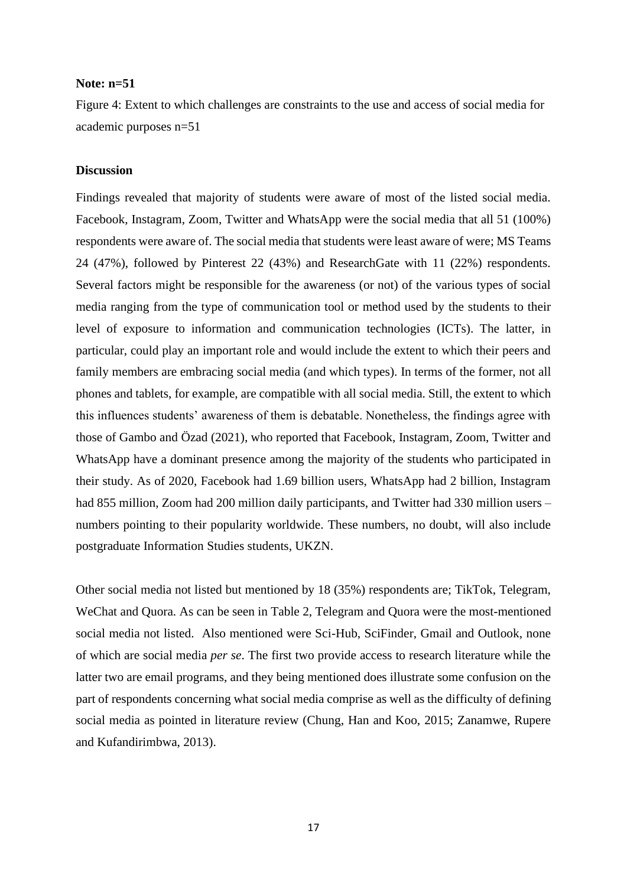#### **Note: n=51**

Figure 4: Extent to which challenges are constraints to the use and access of social media for academic purposes n=51

#### **Discussion**

Findings revealed that majority of students were aware of most of the listed social media. Facebook, Instagram, Zoom, Twitter and WhatsApp were the social media that all 51 (100%) respondents were aware of. The social media that students were least aware of were; MS Teams 24 (47%), followed by Pinterest 22 (43%) and ResearchGate with 11 (22%) respondents. Several factors might be responsible for the awareness (or not) of the various types of social media ranging from the type of communication tool or method used by the students to their level of exposure to information and communication technologies (ICTs). The latter, in particular, could play an important role and would include the extent to which their peers and family members are embracing social media (and which types). In terms of the former, not all phones and tablets, for example, are compatible with all social media. Still, the extent to which this influences students' awareness of them is debatable. Nonetheless, the findings agree with those of Gambo and Özad (2021), who reported that Facebook, Instagram, Zoom, Twitter and WhatsApp have a dominant presence among the majority of the students who participated in their study. As of 2020, Facebook had 1.69 billion users, WhatsApp had 2 billion, Instagram had 855 million, Zoom had 200 million daily participants, and Twitter had 330 million users – numbers pointing to their popularity worldwide. These numbers, no doubt, will also include postgraduate Information Studies students, UKZN.

Other social media not listed but mentioned by 18 (35%) respondents are; TikTok, Telegram, WeChat and Quora. As can be seen in Table 2, Telegram and Quora were the most-mentioned social media not listed. Also mentioned were Sci-Hub, SciFinder, Gmail and Outlook, none of which are social media *per se*. The first two provide access to research literature while the latter two are email programs, and they being mentioned does illustrate some confusion on the part of respondents concerning what social media comprise as well as the difficulty of defining social media as pointed in literature review (Chung, Han and Koo, 2015; Zanamwe, Rupere and Kufandirimbwa, 2013).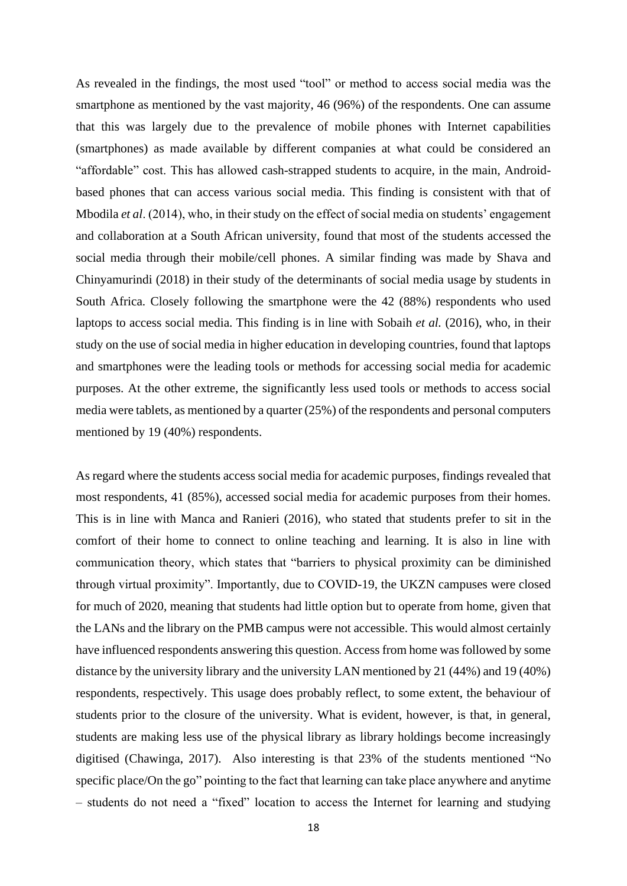As revealed in the findings, the most used "tool" or method to access social media was the smartphone as mentioned by the vast majority, 46 (96%) of the respondents. One can assume that this was largely due to the prevalence of mobile phones with Internet capabilities (smartphones) as made available by different companies at what could be considered an "affordable" cost. This has allowed cash-strapped students to acquire, in the main, Androidbased phones that can access various social media. This finding is consistent with that of Mbodila *et al*. (2014), who, in their study on the effect of social media on students' engagement and collaboration at a South African university, found that most of the students accessed the social media through their mobile/cell phones. A similar finding was made by Shava and Chinyamurindi (2018) in their study of the determinants of social media usage by students in South Africa. Closely following the smartphone were the 42 (88%) respondents who used laptops to access social media. This finding is in line with Sobaih *et al.* (2016), who, in their study on the use of social media in higher education in developing countries, found that laptops and smartphones were the leading tools or methods for accessing social media for academic purposes. At the other extreme, the significantly less used tools or methods to access social media were tablets, as mentioned by a quarter (25%) of the respondents and personal computers mentioned by 19 (40%) respondents.

As regard where the students access social media for academic purposes, findings revealed that most respondents, 41 (85%), accessed social media for academic purposes from their homes. This is in line with Manca and Ranieri (2016), who stated that students prefer to sit in the comfort of their home to connect to online teaching and learning. It is also in line with communication theory, which states that "barriers to physical proximity can be diminished through virtual proximity". Importantly, due to COVID-19, the UKZN campuses were closed for much of 2020, meaning that students had little option but to operate from home, given that the LANs and the library on the PMB campus were not accessible. This would almost certainly have influenced respondents answering this question. Access from home was followed by some distance by the university library and the university LAN mentioned by 21 (44%) and 19 (40%) respondents, respectively. This usage does probably reflect, to some extent, the behaviour of students prior to the closure of the university. What is evident, however, is that, in general, students are making less use of the physical library as library holdings become increasingly digitised (Chawinga, 2017). Also interesting is that 23% of the students mentioned "No specific place/On the go" pointing to the fact that learning can take place anywhere and anytime – students do not need a "fixed" location to access the Internet for learning and studying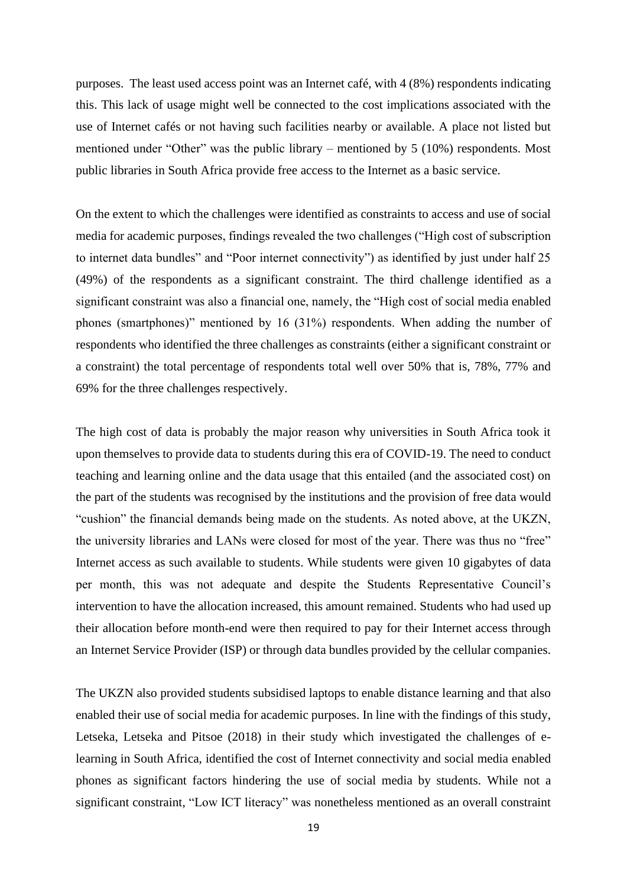purposes. The least used access point was an Internet café, with 4 (8%) respondents indicating this. This lack of usage might well be connected to the cost implications associated with the use of Internet cafés or not having such facilities nearby or available. A place not listed but mentioned under "Other" was the public library – mentioned by 5 (10%) respondents. Most public libraries in South Africa provide free access to the Internet as a basic service.

On the extent to which the challenges were identified as constraints to access and use of social media for academic purposes, findings revealed the two challenges ("High cost of subscription to internet data bundles" and "Poor internet connectivity") as identified by just under half 25 (49%) of the respondents as a significant constraint. The third challenge identified as a significant constraint was also a financial one, namely, the "High cost of social media enabled phones (smartphones)" mentioned by 16 (31%) respondents. When adding the number of respondents who identified the three challenges as constraints (either a significant constraint or a constraint) the total percentage of respondents total well over 50% that is, 78%, 77% and 69% for the three challenges respectively.

The high cost of data is probably the major reason why universities in South Africa took it upon themselves to provide data to students during this era of COVID-19. The need to conduct teaching and learning online and the data usage that this entailed (and the associated cost) on the part of the students was recognised by the institutions and the provision of free data would "cushion" the financial demands being made on the students. As noted above, at the UKZN, the university libraries and LANs were closed for most of the year. There was thus no "free" Internet access as such available to students. While students were given 10 gigabytes of data per month, this was not adequate and despite the Students Representative Council's intervention to have the allocation increased, this amount remained. Students who had used up their allocation before month-end were then required to pay for their Internet access through an Internet Service Provider (ISP) or through data bundles provided by the cellular companies.

The UKZN also provided students subsidised laptops to enable distance learning and that also enabled their use of social media for academic purposes. In line with the findings of this study, Letseka, Letseka and Pitsoe (2018) in their study which investigated the challenges of elearning in South Africa, identified the cost of Internet connectivity and social media enabled phones as significant factors hindering the use of social media by students. While not a significant constraint, "Low ICT literacy" was nonetheless mentioned as an overall constraint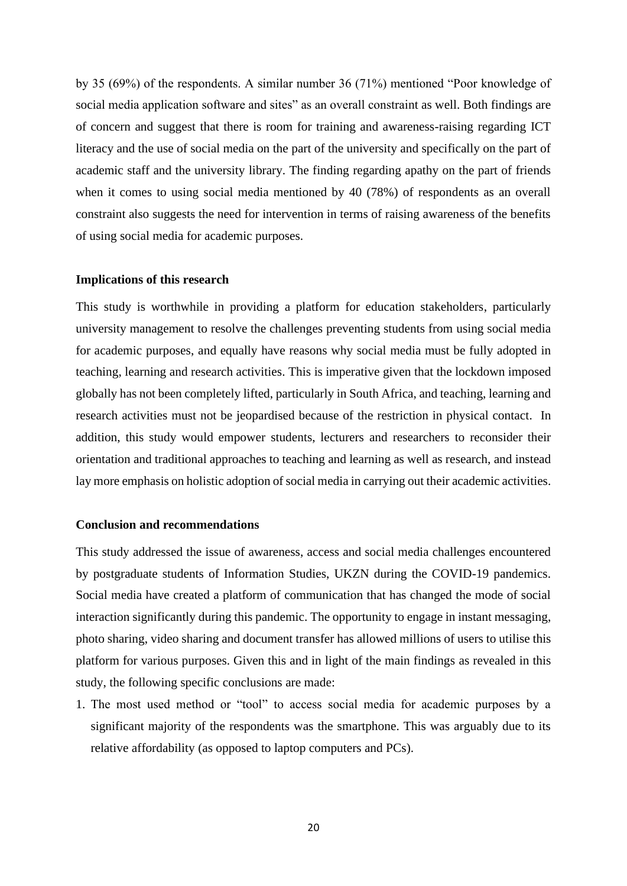by 35 (69%) of the respondents. A similar number 36 (71%) mentioned "Poor knowledge of social media application software and sites" as an overall constraint as well. Both findings are of concern and suggest that there is room for training and awareness-raising regarding ICT literacy and the use of social media on the part of the university and specifically on the part of academic staff and the university library. The finding regarding apathy on the part of friends when it comes to using social media mentioned by 40 (78%) of respondents as an overall constraint also suggests the need for intervention in terms of raising awareness of the benefits of using social media for academic purposes.

#### **Implications of this research**

This study is worthwhile in providing a platform for education stakeholders, particularly university management to resolve the challenges preventing students from using social media for academic purposes, and equally have reasons why social media must be fully adopted in teaching, learning and research activities. This is imperative given that the lockdown imposed globally has not been completely lifted, particularly in South Africa, and teaching, learning and research activities must not be jeopardised because of the restriction in physical contact. In addition, this study would empower students, lecturers and researchers to reconsider their orientation and traditional approaches to teaching and learning as well as research, and instead lay more emphasis on holistic adoption of social media in carrying out their academic activities.

#### **Conclusion and recommendations**

This study addressed the issue of awareness, access and social media challenges encountered by postgraduate students of Information Studies, UKZN during the COVID-19 pandemics. Social media have created a platform of communication that has changed the mode of social interaction significantly during this pandemic. The opportunity to engage in instant messaging, photo sharing, video sharing and document transfer has allowed millions of users to utilise this platform for various purposes. Given this and in light of the main findings as revealed in this study, the following specific conclusions are made:

1. The most used method or "tool" to access social media for academic purposes by a significant majority of the respondents was the smartphone. This was arguably due to its relative affordability (as opposed to laptop computers and PCs).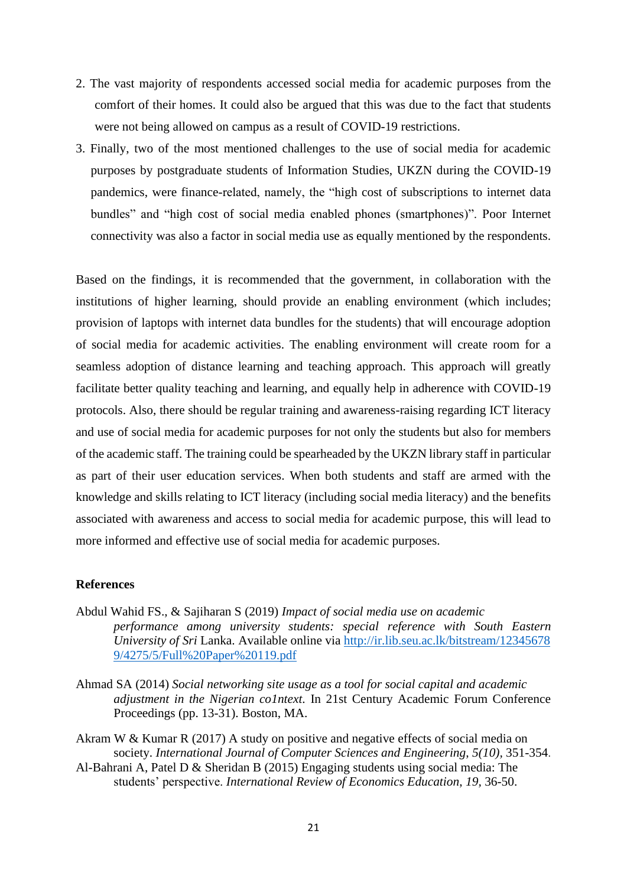- 2. The vast majority of respondents accessed social media for academic purposes from the comfort of their homes. It could also be argued that this was due to the fact that students were not being allowed on campus as a result of COVID-19 restrictions.
- 3. Finally, two of the most mentioned challenges to the use of social media for academic purposes by postgraduate students of Information Studies, UKZN during the COVID-19 pandemics, were finance-related, namely, the "high cost of subscriptions to internet data bundles" and "high cost of social media enabled phones (smartphones)". Poor Internet connectivity was also a factor in social media use as equally mentioned by the respondents.

Based on the findings, it is recommended that the government, in collaboration with the institutions of higher learning, should provide an enabling environment (which includes; provision of laptops with internet data bundles for the students) that will encourage adoption of social media for academic activities. The enabling environment will create room for a seamless adoption of distance learning and teaching approach. This approach will greatly facilitate better quality teaching and learning, and equally help in adherence with COVID-19 protocols. Also, there should be regular training and awareness-raising regarding ICT literacy and use of social media for academic purposes for not only the students but also for members of the academic staff. The training could be spearheaded by the UKZN library staff in particular as part of their user education services. When both students and staff are armed with the knowledge and skills relating to ICT literacy (including social media literacy) and the benefits associated with awareness and access to social media for academic purpose, this will lead to more informed and effective use of social media for academic purposes.

#### **References**

- Abdul Wahid FS., & Sajiharan S (2019) *Impact of social media use on academic performance among university students: special reference with South Eastern University of Sri* Lanka. Available online via [http://ir.lib.seu.ac.lk/bitstream/12345678](http://ir.lib.seu.ac.lk/bitstream/123456789/4275/5/Full%20Paper%20119.pdf) [9/4275/5/Full%20Paper%20119.pdf](http://ir.lib.seu.ac.lk/bitstream/123456789/4275/5/Full%20Paper%20119.pdf)
- Ahmad SA (2014) *Social networking site usage as a tool for social capital and academic adjustment in the Nigerian co1ntext*. In 21st Century Academic Forum Conference Proceedings (pp. 13-31). Boston, MA.
- Akram W & Kumar R (2017) A study on positive and negative effects of social media on society. *International Journal of Computer Sciences and Engineering*, *5(10),* 351-354.
- Al-Bahrani A, Patel D & Sheridan B (2015) Engaging students using social media: The students' perspective. *International Review of Economics Education*, *19,* 36-50.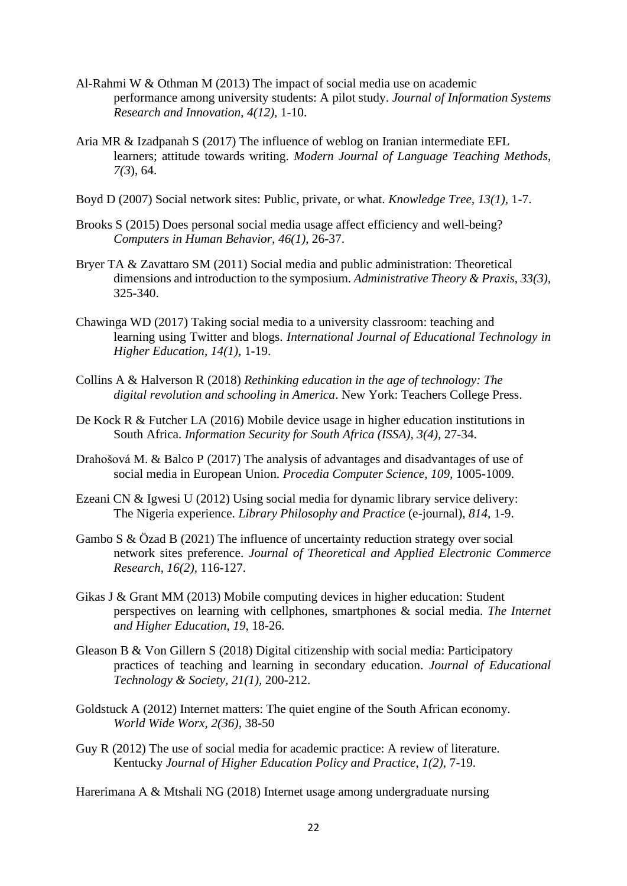- Al-Rahmi W & Othman M (2013) The impact of social media use on academic performance among university students: A pilot study. *Journal of Information Systems Research and Innovation*, *4(12),* 1-10.
- Aria MR & Izadpanah S (2017) The influence of weblog on Iranian intermediate EFL learners; attitude towards writing. *Modern Journal of Language Teaching Methods*, *7(3*), 64.
- Boyd D (2007) Social network sites: Public, private, or what. *Knowledge Tree, 13(1),* 1-7.
- Brooks S (2015) Does personal social media usage affect efficiency and well-being? *Computers in Human Behavior*, *46(1),* 26-37.
- Bryer TA & Zavattaro SM (2011) Social media and public administration: Theoretical dimensions and introduction to the symposium. *Administrative Theory & Praxis*, *33(3),* 325-340.
- Chawinga WD (2017) Taking social media to a university classroom: teaching and learning using Twitter and blogs. *International Journal of Educational Technology in Higher Education*, *14(1),* 1-19.
- Collins A & Halverson R (2018) *Rethinking education in the age of technology: The digital revolution and schooling in America*. New York: Teachers College Press.
- De Kock R & Futcher LA (2016) Mobile device usage in higher education institutions in South Africa. *Information Security for South Africa (ISSA), 3(4),* 27-34.
- Drahošová M. & Balco P (2017) The analysis of advantages and disadvantages of use of social media in European Union. *Procedia Computer Science*, *109,* 1005-1009.
- Ezeani CN & Igwesi U (2012) Using social media for dynamic library service delivery: The Nigeria experience. *Library Philosophy and Practice* (e-journal), *814*, 1-9.
- Gambo S & Özad B (2021) The influence of uncertainty reduction strategy over social network sites preference. *Journal of Theoretical and Applied Electronic Commerce Research*, *16(2),* 116-127.
- Gikas J & Grant MM (2013) Mobile computing devices in higher education: Student perspectives on learning with cellphones, smartphones & social media. *The Internet and Higher Education*, *19,* 18-26.
- Gleason B & Von Gillern S (2018) Digital citizenship with social media: Participatory practices of teaching and learning in secondary education. *Journal of Educational Technology & Society, 21(1),* 200-212.
- Goldstuck A (2012) Internet matters: The quiet engine of the South African economy. *World Wide Worx, 2(36),* 38-50
- Guy R (2012) The use of social media for academic practice: A review of literature. Kentucky *Journal of Higher Education Policy and Practice*, *1(2),* 7-19.

Harerimana A & Mtshali NG (2018) Internet usage among undergraduate nursing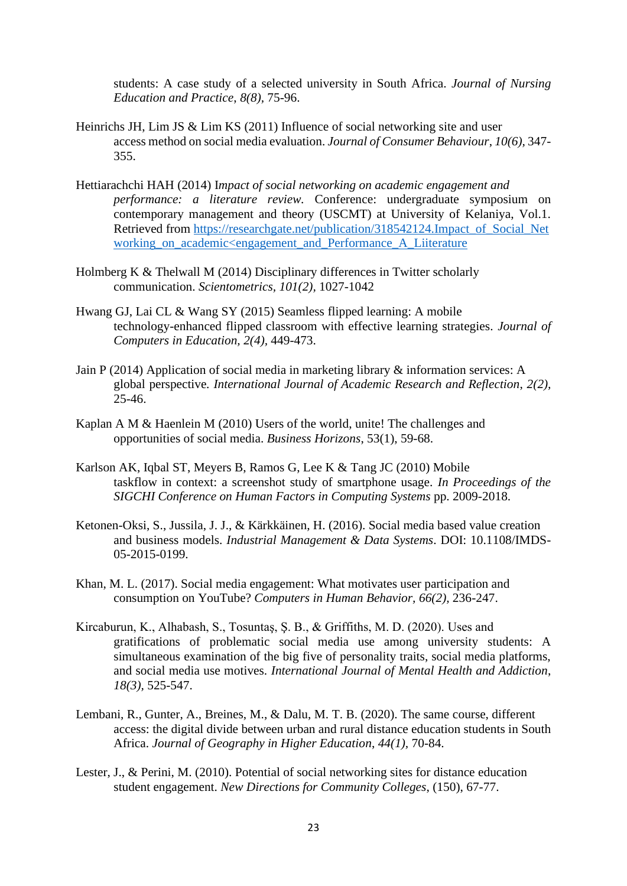students: A case study of a selected university in South Africa. *Journal of Nursing Education and Practice*, *8(8),* 75-96.

- Heinrichs JH, Lim JS & Lim KS (2011) Influence of social networking site and user access method on social media evaluation. *Journal of Consumer Behaviour*, *10(6),* 347- 355.
- Hettiarachchi HAH (2014) I*mpact of social networking on academic engagement and performance: a literature review.* Conference: undergraduate symposium on contemporary management and theory (USCMT) at University of Kelaniya, Vol.1. Retrieved from [https://researchgate.net/publication/318542124.Impact\\_of\\_Social\\_Net](https://researchgate.net/publication/318542124.Impact_of_Social_Networking_on_academic%3cengagement_and_Performance_A_Liiterature) working on academic<engagement and Performance A Liiterature
- Holmberg K & Thelwall M (2014) Disciplinary differences in Twitter scholarly communication. *Scientometrics, 101(2),* 1027-1042
- Hwang GJ, Lai CL & Wang SY (2015) Seamless flipped learning: A mobile technology-enhanced flipped classroom with effective learning strategies. *Journal of Computers in Education, 2(4),* 449-473.
- Jain P (2014) Application of social media in marketing library & information services: A global perspective*. International Journal of Academic Research and Reflection*, *2(2),* 25-46.
- Kaplan A M & Haenlein M (2010) Users of the world, unite! The challenges and opportunities of social media. *Business Horizons*, 53(1), 59-68.
- Karlson AK, Iqbal ST, Meyers B, Ramos G, Lee K & Tang JC (2010) Mobile taskflow in context: a screenshot study of smartphone usage. *In Proceedings of the SIGCHI Conference on Human Factors in Computing Systems* pp. 2009-2018.
- Ketonen-Oksi, S., Jussila, J. J., & Kärkkäinen, H. (2016). Social media based value creation and business models. *Industrial Management & Data Systems*. DOI: 10.1108/IMDS-05-2015-0199.
- Khan, M. L. (2017). Social media engagement: What motivates user participation and consumption on YouTube? *Computers in Human Behavior, 66(2),* 236-247.
- Kircaburun, K., Alhabash, S., Tosuntaş, Ş. B., & Griffiths, M. D. (2020). Uses and gratifications of problematic social media use among university students: A simultaneous examination of the big five of personality traits, social media platforms, and social media use motives. *International Journal of Mental Health and Addiction*, *18(3),* 525-547.
- Lembani, R., Gunter, A., Breines, M., & Dalu, M. T. B. (2020). The same course, different access: the digital divide between urban and rural distance education students in South Africa. *Journal of Geography in Higher Education*, *44(1),* 70-84.
- Lester, J., & Perini, M. (2010). Potential of social networking sites for distance education student engagement. *New Directions for Community Colleges*, (150), 67-77.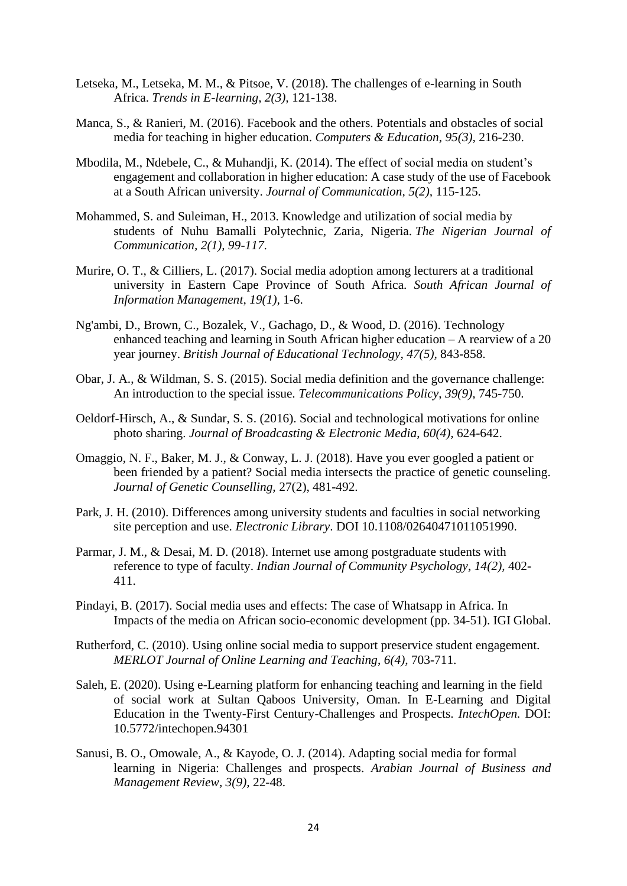- Letseka, M., Letseka, M. M., & Pitsoe, V. (2018). The challenges of e-learning in South Africa. *Trends in E-learning*, *2(3),* 121-138.
- Manca, S., & Ranieri, M. (2016). Facebook and the others. Potentials and obstacles of social media for teaching in higher education. *Computers & Education*, *95(3),* 216-230.
- Mbodila, M., Ndebele, C., & Muhandji, K. (2014). The effect of social media on student's engagement and collaboration in higher education: A case study of the use of Facebook at a South African university. *Journal of Communication, 5(2),* 115-125.
- Mohammed, S. and Suleiman, H., 2013. Knowledge and utilization of social media by students of Nuhu Bamalli Polytechnic, Zaria, Nigeria. *The Nigerian Journal of Communication, 2(1), 99-117*.
- Murire, O. T., & Cilliers, L. (2017). Social media adoption among lecturers at a traditional university in Eastern Cape Province of South Africa. *South African Journal of Information Management*, *19(1),* 1-6.
- Ng'ambi, D., Brown, C., Bozalek, V., Gachago, D., & Wood, D. (2016). Technology enhanced teaching and learning in South African higher education – A rearview of a 20 year journey. *British Journal of Educational Technology, 47(5),* 843-858.
- Obar, J. A., & Wildman, S. S. (2015). Social media definition and the governance challenge: An introduction to the special issue. *Telecommunications Policy*, *39(9),* 745-750.
- Oeldorf-Hirsch, A., & Sundar, S. S. (2016). Social and technological motivations for online photo sharing. *Journal of Broadcasting & Electronic Media*, *60(4),* 624-642.
- Omaggio, N. F., Baker, M. J., & Conway, L. J. (2018). Have you ever googled a patient or been friended by a patient? Social media intersects the practice of genetic counseling. *Journal of Genetic Counselling,* 27(2), 481-492.
- Park, J. H. (2010). Differences among university students and faculties in social networking site perception and use. *Electronic Library*. DOI 10.1108/02640471011051990.
- Parmar, J. M., & Desai, M. D. (2018). Internet use among postgraduate students with reference to type of faculty. *Indian Journal of Community Psychology*, *14(2),* 402- 411.
- Pindayi, B. (2017). Social media uses and effects: The case of Whatsapp in Africa. In Impacts of the media on African socio-economic development (pp. 34-51). IGI Global.
- Rutherford, C. (2010). Using online social media to support preservice student engagement. *MERLOT Journal of Online Learning and Teaching*, *6(4),* 703-711.
- Saleh, E. (2020). Using e-Learning platform for enhancing teaching and learning in the field of social work at Sultan Qaboos University, Oman. In E-Learning and Digital Education in the Twenty-First Century-Challenges and Prospects. *IntechOpen.* DOI: 10.5772/intechopen.94301
- Sanusi, B. O., Omowale, A., & Kayode, O. J. (2014). Adapting social media for formal learning in Nigeria: Challenges and prospects. *Arabian Journal of Business and Management Review*, *3(9),* 22-48.